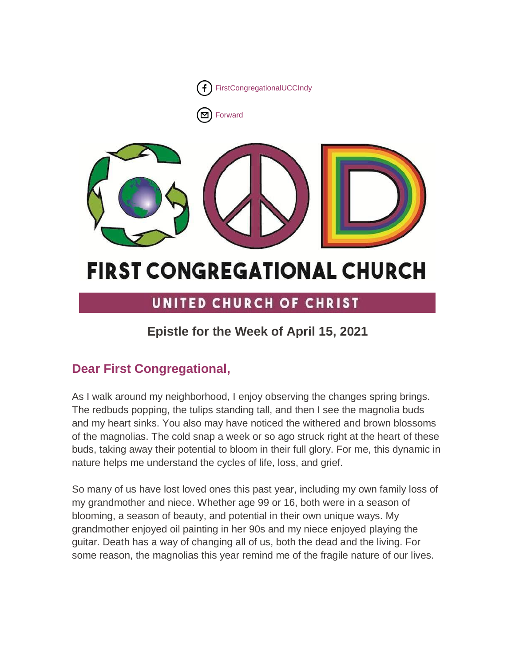



# **FIRST CONGREGATIONAL CHURCH**

# UNITED CHURCH OF CHRIST

# **Epistle for the Week of April 15, 2021**

# **Dear First Congregational,**

As I walk around my neighborhood, I enjoy observing the changes spring brings. The redbuds popping, the tulips standing tall, and then I see the magnolia buds and my heart sinks. You also may have noticed the withered and brown blossoms of the magnolias. The cold snap a week or so ago struck right at the heart of these buds, taking away their potential to bloom in their full glory. For me, this dynamic in nature helps me understand the cycles of life, loss, and grief.

So many of us have lost loved ones this past year, including my own family loss of my grandmother and niece. Whether age 99 or 16, both were in a season of blooming, a season of beauty, and potential in their own unique ways. My grandmother enjoyed oil painting in her 90s and my niece enjoyed playing the guitar. Death has a way of changing all of us, both the dead and the living. For some reason, the magnolias this year remind me of the fragile nature of our lives.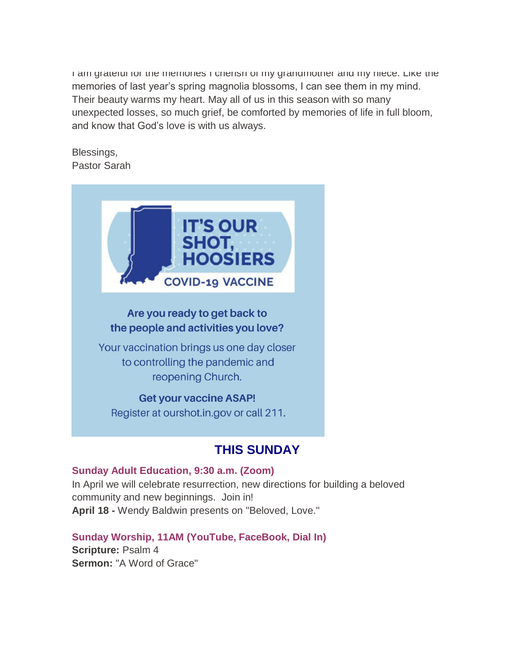I am grateful for the memories I cherish of my grandmother and my niece. Like the memories of last year's spring magnolia blossoms, I can see them in my mind. Their beauty warms my heart. May all of us in this season with so many unexpected losses, so much grief, be comforted by memories of life in full bloom, and know that God's love is with us always.

Blessings, Pastor Sarah



# Are you ready to get back to the people and activities you love?

Your vaccination brings us one day closer to controlling the pandemic and reopening Church.

## **Get your vaccine ASAP!** Register at ourshot.in.gov or call 211.

# **THIS SUNDAY**

## **Sunday Adult Education, 9:30 a.m. (Zoom)**

In April we will celebrate resurrection, new directions for building a beloved community and new beginnings. Join in! **April 18 -** Wendy Baldwin presents on "Beloved, Love."

# **Sunday Worship, 11AM (YouTube, FaceBook, Dial In)**

**Scripture:** Psalm 4 **Sermon:** "A Word of Grace"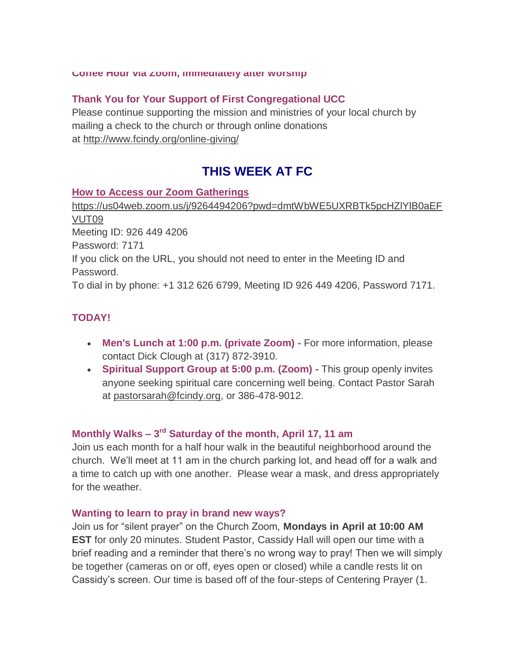#### **Coffee Hour via Zoom, immediately after worship**

#### **Thank You for Your Support of First Congregational UCC**

Please continue supporting the mission and ministries of your local church by mailing a check to the church or through online donations at <http://www.fcindy.org/online-giving/>

# **THIS WEEK AT FC**

#### **How to Access our Zoom Gatherings**

[https://us04web.zoom.us/j/9264494206?pwd=dmtWbWE5UXRBTk5pcHZlYlB0aEF](https://us04web.zoom.us/j/9264494206?pwd=dmtWbWE5UXRBTk5pcHZlYlB0aEFVUT09) [VUT09](https://us04web.zoom.us/j/9264494206?pwd=dmtWbWE5UXRBTk5pcHZlYlB0aEFVUT09) Meeting ID: 926 449 4206 Password: 7171 If you click on the URL, you should not need to enter in the Meeting ID and Password. To dial in by phone: +1 312 626 6799, Meeting ID 926 449 4206, Password 7171.

#### **TODAY!**

- **Men's Lunch at 1:00 p.m. (private Zoom) -** For more information, please contact Dick Clough at (317) 872-3910.
- **Spiritual Support Group at 5:00 p.m. (Zoom) -** This group openly invites anyone seeking spiritual care concerning well being. Contact Pastor Sarah at [pastorsarah@fcindy.org,](mailto:pastorsarah@fcindy.org) or 386-478-9012.

## **Monthly Walks – 3 rd Saturday of the month, April 17, 11 am**

Join us each month for a half hour walk in the beautiful neighborhood around the church. We'll meet at 11 am in the church parking lot, and head off for a walk and a time to catch up with one another. Please wear a mask, and dress appropriately for the weather.

#### **Wanting to learn to pray in brand new ways?**

Join us for "silent prayer" on the Church Zoom, **Mondays in April at 10:00 AM EST** for only 20 minutes. Student Pastor, Cassidy Hall will open our time with a brief reading and a reminder that there's no wrong way to pray! Then we will simply be together (cameras on or off, eyes open or closed) while a candle rests lit on Cassidy's screen. Our time is based off of the four-steps of Centering Prayer (1.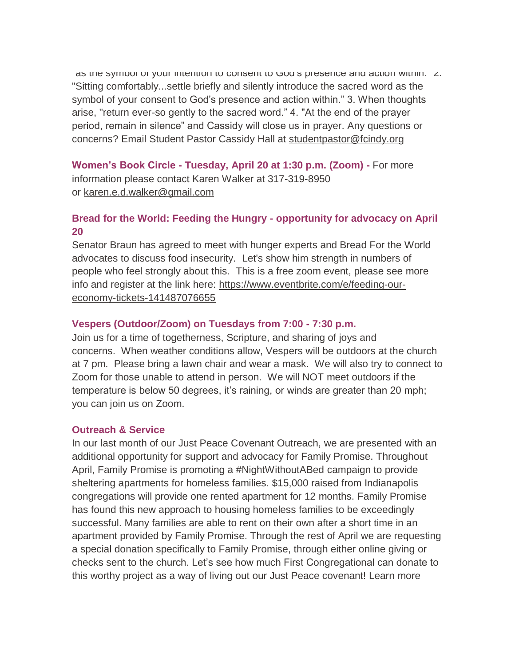as the symbol of your intention to consent to God's presence and action within. Z. "Sitting comfortably...settle briefly and silently introduce the sacred word as the symbol of your consent to God's presence and action within." 3. When thoughts arise, "return ever-so gently to the sacred word." 4. "At the end of the prayer period, remain in silence" and Cassidy will close us in prayer. Any questions or concerns? Email Student Pastor Cassidy Hall at [studentpastor@fcindy.org](mailto:studentpastor@fcindy.org)

**Women's Book Circle - Tuesday, April 20 at 1:30 p.m. (Zoom) -** For more information please contact Karen Walker at 317-319-8950 or [karen.e.d.walker@gmail.com](mailto:karen.e.d.walker@gmail.com)

## **Bread for the World: Feeding the Hungry - opportunity for advocacy on April 20**

Senator Braun has agreed to meet with hunger experts and Bread For the World advocates to discuss food insecurity. Let's show him strength in numbers of people who feel strongly about this. This is a free zoom event, please see more info and register at the link here: [https://www.eventbrite.com/e/feeding-our](https://www.eventbrite.com/e/feeding-our-economy-tickets-141487076655)[economy-tickets-141487076655](https://www.eventbrite.com/e/feeding-our-economy-tickets-141487076655)

## **Vespers (Outdoor/Zoom) on Tuesdays from 7:00 - 7:30 p.m.**

Join us for a time of togetherness, Scripture, and sharing of joys and concerns. When weather conditions allow, Vespers will be outdoors at the church at 7 pm. Please bring a lawn chair and wear a mask. We will also try to connect to Zoom for those unable to attend in person. We will NOT meet outdoors if the temperature is below 50 degrees, it's raining, or winds are greater than 20 mph; you can join us on Zoom.

## **Outreach & Service**

In our last month of our Just Peace Covenant Outreach, we are presented with an additional opportunity for support and advocacy for Family Promise. Throughout April, Family Promise is promoting a #NightWithoutABed campaign to provide sheltering apartments for homeless families. \$15,000 raised from Indianapolis congregations will provide one rented apartment for 12 months. Family Promise has found this new approach to housing homeless families to be exceedingly successful. Many families are able to rent on their own after a short time in an apartment provided by Family Promise. Through the rest of April we are requesting a special donation specifically to Family Promise, through either online giving or checks sent to the church. Let's see how much First Congregational can donate to this worthy project as a way of living out our Just Peace covenant! Learn more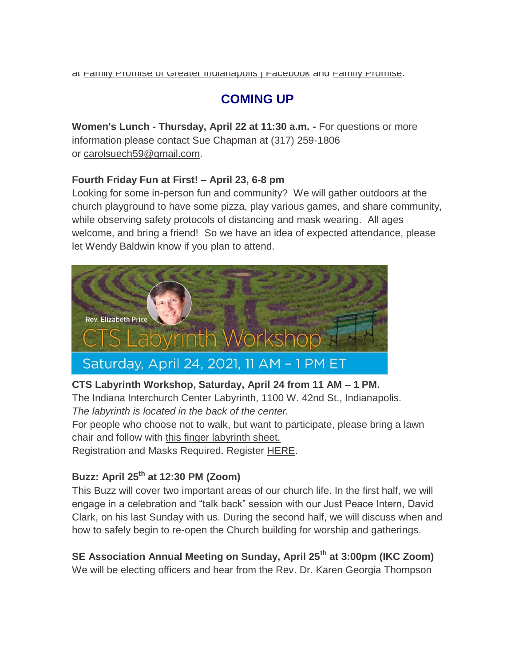# **COMING UP**

**Women's Lunch - Thursday, April 22 at 11:30 a.m. -** For questions or more information please contact Sue Chapman at (317) 259-1806 or [carolsuech59@gmail.com.](mailto:carolsuech59@gmail.com)

## **Fourth Friday Fun at First! – April 23, 6-8 pm**

Looking for some in-person fun and community? We will gather outdoors at the church playground to have some pizza, play various games, and share community, while observing safety protocols of distancing and mask wearing. All ages welcome, and bring a friend! So we have an idea of expected attendance, please let Wendy Baldwin know if you plan to attend.



## **CTS Labyrinth Workshop, Saturday, April 24 from 11 AM – 1 PM.**

The Indiana Interchurch Center Labyrinth, 1100 W. 42nd St., Indianapolis. *The labyrinth is located in the back of the center.*

For people who choose not to walk, but want to participate, please bring a lawn chair and follow with [this finger labyrinth sheet.](http://www.cts.edu/wp-content/uploads/2020/08/2021-Labyrinth-Workshop.pdf)

Registration and Masks Required. Register [HERE.](https://www.eventbrite.com/e/labyrinth-workshop-tickets-146644633045)

# **Buzz: April 25th at 12:30 PM (Zoom)**

This Buzz will cover two important areas of our church life. In the first half, we will engage in a celebration and "talk back" session with our Just Peace Intern, David Clark, on his last Sunday with us. During the second half, we will discuss when and how to safely begin to re-open the Church building for worship and gatherings.

**SE Association Annual Meeting on Sunday, April 25th at 3:00pm (IKC Zoom)** We will be electing officers and hear from the Rev. Dr. Karen Georgia Thompson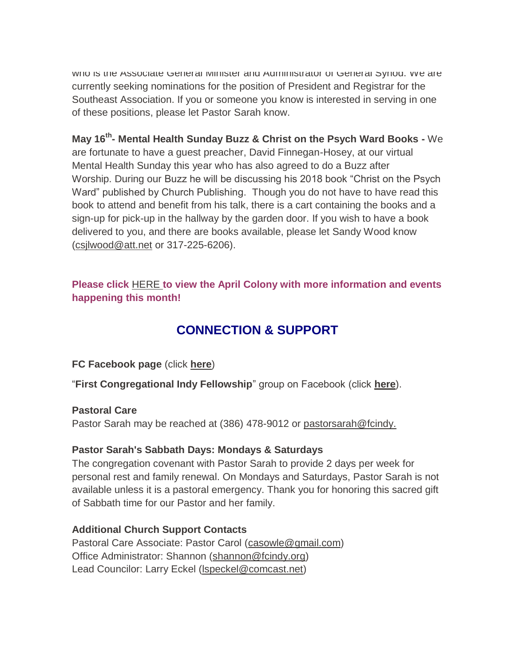who is the Associate General Minister and Administrator of General Synod. We are currently seeking nominations for the position of President and Registrar for the Southeast Association. If you or someone you know is interested in serving in one of these positions, please let Pastor Sarah know.

## **May 16th - Mental Health Sunday Buzz & Christ on the Psych Ward Books -** We

are fortunate to have a guest preacher, David Finnegan-Hosey, at our virtual Mental Health Sunday this year who has also agreed to do a Buzz after Worship. During our Buzz he will be discussing his 2018 book "Christ on the Psych Ward" published by Church Publishing. Though you do not have to have read this book to attend and benefit from his talk, there is a cart containing the books and a sign-up for pick-up in the hallway by the garden door. If you wish to have a book delivered to you, and there are books available, please let Sandy Wood know [\(csjlwood@att.net](mailto:csjlwood@att.net-) or 317-225-6206).

## **Please click** [HERE](https://mcusercontent.com/7a2e4c501545b6d78729a64a1/files/c6bc7fc6-7671-4bb5-9e27-00d25bc95abe/March_Colony_2021.01.pdf) **[t](https://mcusercontent.com/7a2e4c501545b6d78729a64a1/files/c6bc7fc6-7671-4bb5-9e27-00d25bc95abe/March_Colony_2021.01.pdf)o view the April Colony with more information and events happening this month!**

# **CONNECTION & SUPPORT**

## **FC Facebook page** (click **[here](https://www.facebook.com/FirstCongregationalUCCIndy/)**)

"**First Congregational Indy Fellowship**" group on Facebook (click **[here](https://www.facebook.com/groups/521333455186422/)**).

#### **Pastoral Care**

Pastor Sarah may be reached at (386) 478-9012 or [pastorsarah@fcindy.](mailto:pastorsarah@fcindy.org)

#### **Pastor Sarah's Sabbath Days: Mondays & Saturdays**

The congregation covenant with Pastor Sarah to provide 2 days per week for personal rest and family renewal. On Mondays and Saturdays, Pastor Sarah is not available unless it is a pastoral emergency. Thank you for honoring this sacred gift of Sabbath time for our Pastor and her family.

## **Additional Church Support Contacts**

Pastoral Care Associate: Pastor Carol [\(casowle@gmail.com\)](mailto:casowle@gmail.com) Office Administrator: Shannon [\(shannon@fcindy.org\)](mailto:shannon@fcindy.org) Lead Councilor: Larry Eckel [\(lspeckel@comcast.net\)](mailto:lspeckel@comcast.net)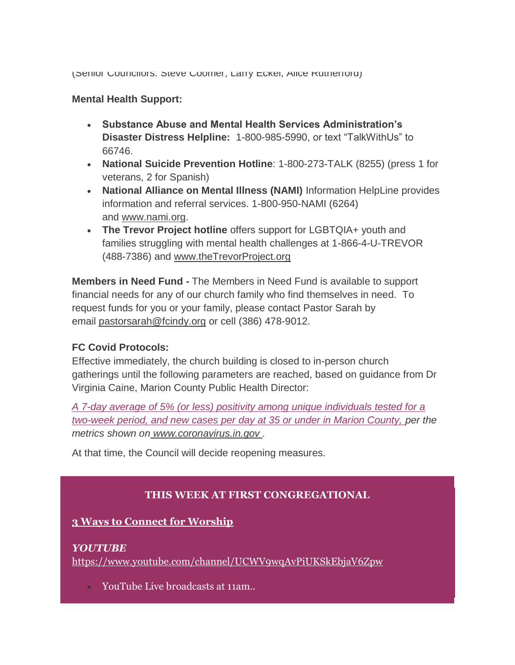(Senior Councilors: Steve Coomer, Larry Eckel, Alice Rutherford)

#### **Mental Health Support:**

- **Substance Abuse and Mental Health Services Administration's Disaster Distress Helpline:** 1-800-985-5990, or text "TalkWithUs" to 66746.
- **National Suicide Prevention Hotline**: 1-800-273-TALK (8255) (press 1 for veterans, 2 for Spanish)
- **National Alliance on Mental Illness (NAMI)** Information HelpLine provides information and referral services. 1-800-950-NAMI (6264) and [www.nami.org.](http://www.nami.org/)
- **The Trevor Project hotline** offers support for LGBTQIA+ youth and families struggling with mental health challenges at 1-866-4-U-TREVOR (488-7386) and [www.theTrevorProject.org](http://www.thetrevorproject.org/)

**Members in Need Fund -** The Members in Need Fund is available to support financial needs for any of our church family who find themselves in need. To request funds for you or your family, please contact Pastor Sarah by email [pastorsarah@fcindy.org](mailto:pastorsarah@fcindy.org) or cell (386) 478-9012.

#### **FC Covid Protocols:**

Effective immediately, the church building is closed to in-person church gatherings until the following parameters are reached, based on guidance from Dr Virginia Caine, Marion County Public Health Director:

*A 7-day average of 5% (or less) positivity among unique individuals tested for a two-week period, and new cases per day at 35 or under in Marion County, per the metrics shown on [www.coronavirus.in.gov](http://www.coronavirus.in.gov/) .* 

At that time, the Council will decide reopening measures.

## **THIS WEEK AT FIRST CONGREGATIONAL**

#### **3 Ways to Connect for Worship**

#### *YOUTUBE*

<https://www.youtube.com/channel/UCWV9wqAvPiUKSkEbjaV6Zpw>

YouTube Live broadcasts at 11am..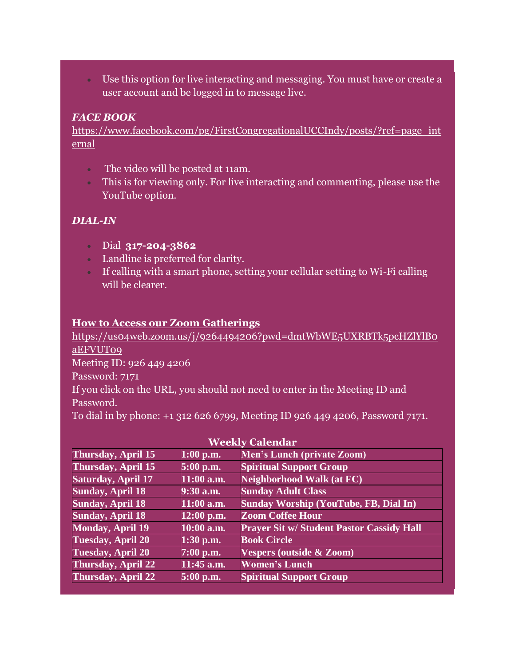Use this option for live interacting and messaging. You must have or create a user account and be logged in to message live.

#### *FACE BOOK*

[https://www.facebook.com/pg/FirstCongregationalUCCIndy/posts/?ref=page\\_int](https://www.facebook.com/pg/FirstCongregationalUCCIndy/posts/?ref=page_internal) [ernal](https://www.facebook.com/pg/FirstCongregationalUCCIndy/posts/?ref=page_internal)

- The video will be posted at 11am.
- This is for viewing only. For live interacting and commenting, please use the YouTube option.

## *DIAL-IN*

- Dial **317-204-3862**
- Landline is preferred for clarity.
- If calling with a smart phone, setting your cellular setting to Wi-Fi calling will be clearer.

#### **How to Access our Zoom Gatherings**

[https://us04web.zoom.us/j/9264494206?pwd=dmtWbWE5UXRBTk5pcHZlYlB0](https://us04web.zoom.us/j/9264494206?pwd=dmtWbWE5UXRBTk5pcHZlYlB0aEFVUT09) [aEFVUT09](https://us04web.zoom.us/j/9264494206?pwd=dmtWbWE5UXRBTk5pcHZlYlB0aEFVUT09) Meeting ID: 926 449 4206 Password: 7171 If you click on the URL, you should not need to enter in the Meeting ID and Password. To dial in by phone: +1 312 626 6799, Meeting ID 926 449 4206, Password 7171.

| weekiy Calendar           |              |                                                  |  |
|---------------------------|--------------|--------------------------------------------------|--|
| Thursday, April 15        | $1:00$ p.m.  | <b>Men's Lunch (private Zoom)</b>                |  |
| <b>Thursday, April 15</b> | 5:00 p.m.    | <b>Spiritual Support Group</b>                   |  |
| <b>Saturday, April 17</b> | $11:00$ a.m. | <b>Neighborhood Walk (at FC)</b>                 |  |
| <b>Sunday, April 18</b>   | 9:30 a.m.    | <b>Sunday Adult Class</b>                        |  |
| <b>Sunday, April 18</b>   | $11:00$ a.m. | <b>Sunday Worship (YouTube, FB, Dial In)</b>     |  |
| <b>Sunday, April 18</b>   | $12:00$ p.m. | <b>Zoom Coffee Hour</b>                          |  |
| <b>Monday, April 19</b>   | $10:00$ a.m. | <b>Prayer Sit w/ Student Pastor Cassidy Hall</b> |  |
| <b>Tuesday, April 20</b>  | $1:30$ p.m.  | <b>Book Circle</b>                               |  |
| <b>Tuesday, April 20</b>  | $7:00$ p.m.  | <b>Vespers (outside &amp; Zoom)</b>              |  |
| <b>Thursday, April 22</b> | $11:45$ a.m. | <b>Women's Lunch</b>                             |  |
| <b>Thursday, April 22</b> | 5:00 p.m.    | <b>Spiritual Support Group</b>                   |  |

#### **Weekly Calendar**